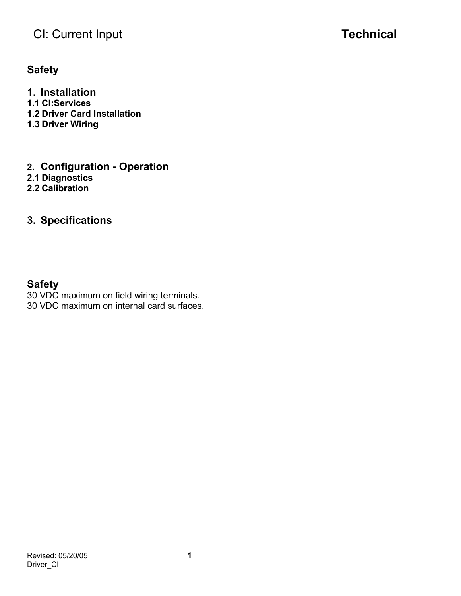## **Safety**

**1. Installation 1.1 CI:Services 1.2 Driver Card Installation 1.3 Driver Wiring** 

- **2. Configuration Operation**
- **2.1 Diagnostics**
- **2.2 Calibration**

## **3. Specifications**

## **Safety**

30 VDC maximum on field wiring terminals. 30 VDC maximum on internal card surfaces.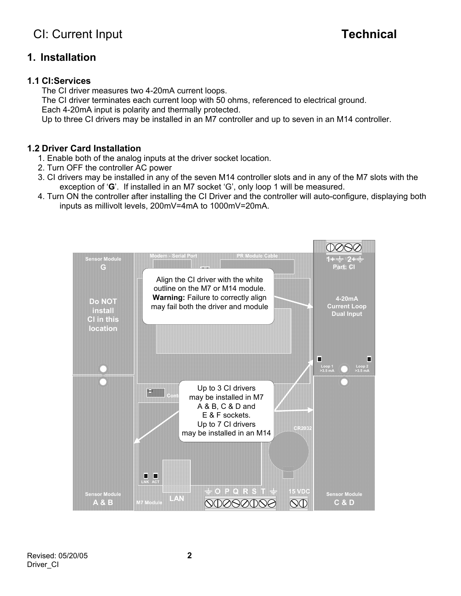## **1. Installation**

### **1.1 CI:Services**

The CI driver measures two 4-20mA current loops.

The CI driver terminates each current loop with 50 ohms, referenced to electrical ground.

Each 4-20mA input is polarity and thermally protected.

Up to three CI drivers may be installed in an M7 controller and up to seven in an M14 controller.

## **1.2 Driver Card Installation**

- 1. Enable both of the analog inputs at the driver socket location.
- 2. Turn OFF the controller AC power
- 3. CI drivers may be installed in any of the seven M14 controller slots and in any of the M7 slots with the exception of '**G**'. If installed in an M7 socket 'G', only loop 1 will be measured.
- 4. Turn ON the controller after installing the CI Driver and the controller will auto-configure, displaying both inputs as millivolt levels, 200mV=4mA to 1000mV=20mA.

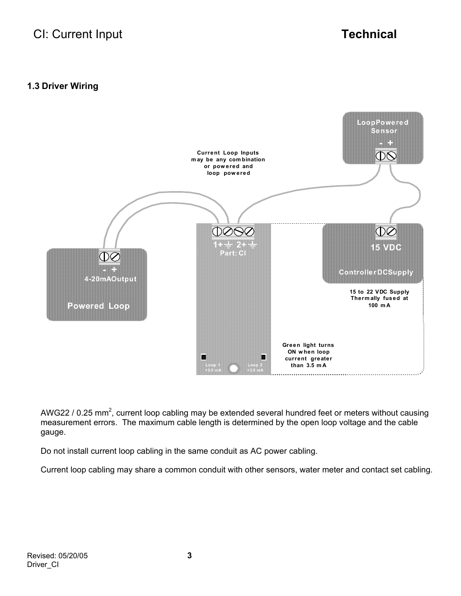## **1.3 Driver Wiring**



AWG22 / 0.25 mm<sup>2</sup>, current loop cabling may be extended several hundred feet or meters without causing measurement errors. The maximum cable length is determined by the open loop voltage and the cable gauge.

Do not install current loop cabling in the same conduit as AC power cabling.

Current loop cabling may share a common conduit with other sensors, water meter and contact set cabling.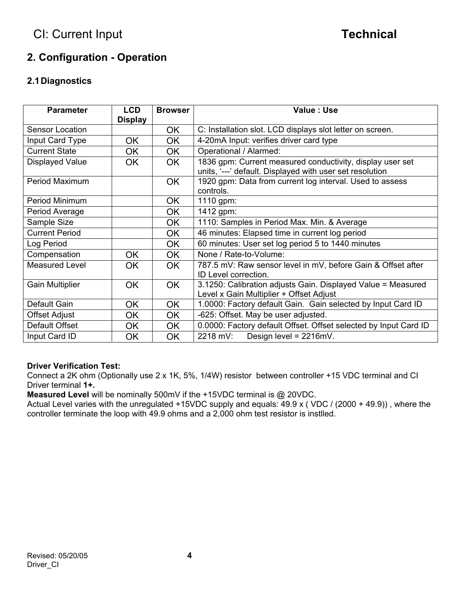## **2. Configuration - Operation**

## **2.1 Diagnostics**

| <b>Parameter</b>       | <b>LCD</b><br><b>Display</b> | <b>Browser</b> | Value : Use                                                                                                           |  |
|------------------------|------------------------------|----------------|-----------------------------------------------------------------------------------------------------------------------|--|
| Sensor Location        |                              | OK.            | C: Installation slot. LCD displays slot letter on screen.                                                             |  |
| Input Card Type        | <b>OK</b>                    | OK.            | 4-20mA Input: verifies driver card type                                                                               |  |
| <b>Current State</b>   | <b>OK</b>                    | <b>OK</b>      | Operational / Alarmed:                                                                                                |  |
| <b>Displayed Value</b> | <b>OK</b>                    | <b>OK</b>      | 1836 gpm: Current measured conductivity, display user set<br>units, '---' default. Displayed with user set resolution |  |
| Period Maximum         |                              | <b>OK</b>      | 1920 gpm: Data from current log interval. Used to assess<br>controls.                                                 |  |
| Period Minimum         |                              | <b>OK</b>      | 1110 gpm:                                                                                                             |  |
| Period Average         |                              | OK             | 1412 gpm:                                                                                                             |  |
| Sample Size            |                              | <b>OK</b>      | 1110: Samples in Period Max. Min. & Average                                                                           |  |
| <b>Current Period</b>  |                              | OK.            | 46 minutes: Elapsed time in current log period                                                                        |  |
| Log Period             |                              | <b>OK</b>      | 60 minutes: User set log period 5 to 1440 minutes                                                                     |  |
| Compensation           | <b>OK</b>                    | <b>OK</b>      | None / Rate-to-Volume:                                                                                                |  |
| <b>Measured Level</b>  | <b>OK</b>                    | <b>OK</b>      | 787.5 mV: Raw sensor level in mV, before Gain & Offset after<br>ID Level correction.                                  |  |
| <b>Gain Multiplier</b> | OK                           | <b>OK</b>      | 3.1250: Calibration adjusts Gain. Displayed Value = Measured<br>Level x Gain Multiplier + Offset Adjust               |  |
| Default Gain           | <b>OK</b>                    | <b>OK</b>      | 1.0000: Factory default Gain. Gain selected by Input Card ID                                                          |  |
| <b>Offset Adjust</b>   | <b>OK</b>                    | OK.            | -625: Offset. May be user adjusted.                                                                                   |  |
| Default Offset         | OK                           | OK.            | 0.0000: Factory default Offset. Offset selected by Input Card ID                                                      |  |
| Input Card ID          | OK                           | OK.            | 2218 mV:<br>Design level = 2216mV.                                                                                    |  |

### **Driver Verification Test:**

Connect a 2K ohm (Optionally use 2 x 1K, 5%, 1/4W) resistor between controller +15 VDC terminal and CI Driver terminal **1+.**

**Measured Level** will be nominally 500mV if the +15VDC terminal is @ 20VDC.

Actual Level varies with the unregulated +15VDC supply and equals: 49.9 x ( VDC / (2000 + 49.9)) , where the controller terminate the loop with 49.9 ohms and a 2,000 ohm test resistor is instlled.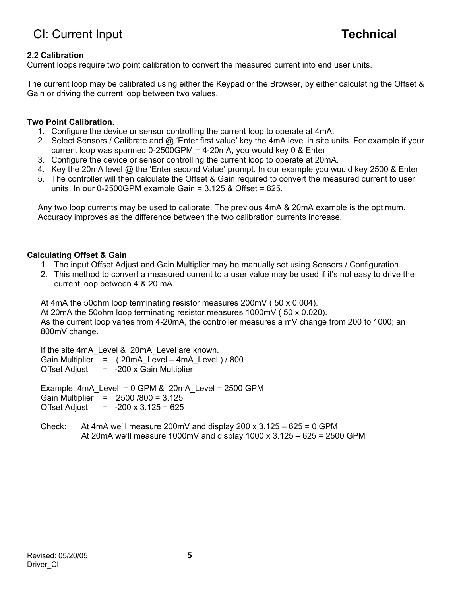## **2.2 Calibration**

Current loops require two point calibration to convert the measured current into end user units.

The current loop may be calibrated using either the Keypad or the Browser, by either calculating the Offset & Gain or driving the current loop between two values.

#### **Two Point Calibration.**

- 1. Configure the device or sensor controlling the current loop to operate at 4mA.
- 2. Select Sensors / Calibrate and @ 'Enter first value' key the 4mA level in site units. For example if your current loop was spanned 0-2500GPM = 4-20mA, you would key 0 & Enter
- 3. Configure the device or sensor controlling the current loop to operate at 20mA.
- 4. Key the 20mA level @ the 'Enter second Value' prompt. In our example you would key 2500 & Enter
- 5. The controller will then calculate the Offset & Gain required to convert the measured current to user units. In our 0-2500GPM example Gain = 3.125 & Offset = 625.

Any two loop currents may be used to calibrate. The previous 4mA & 20mA example is the optimum. Accuracy improves as the difference between the two calibration currents increase.

#### **Calculating Offset & Gain**

- 1. The input Offset Adjust and Gain Multiplier may be manually set using Sensors / Configuration.
- 2. This method to convert a measured current to a user value may be used if it's not easy to drive the current loop between 4 & 20 mA.

At 4mA the 50ohm loop terminating resistor measures 200mV ( 50 x 0.004). At 20mA the 50ohm loop terminating resistor measures 1000mV ( 50 x 0.020). As the current loop varies from 4-20mA, the controller measures a mV change from 200 to 1000; an 800mV change.

If the site 4mA\_Level & 20mA\_Level are known. Gain Multiplier = ( 20mA\_Level – 4mA\_Level ) / 800 Offset Adjust  $= -200 \times$  Gain Multiplier Example:  $4mA$  Level = 0 GPM & 20mA Level = 2500 GPM Gain Multiplier = 2500 /800 = 3.125 Offset Adjust  $= -200 \times 3.125 = 625$ 

Check: At 4mA we'll measure 200mV and display  $200 \times 3.125 - 625 = 0$  GPM At 20mA we'll measure 1000mV and display 1000 x  $3.125 - 625 = 2500$  GPM